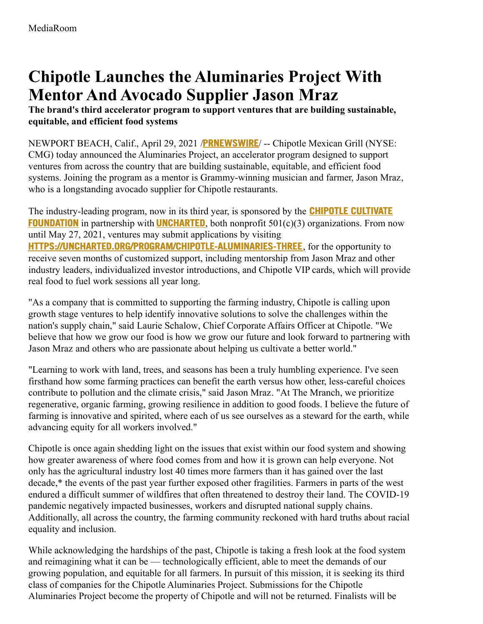# **Chipotle Launches the Aluminaries Project With Mentor And Avocado Supplier Jason Mraz**

**The brand's third accelerator program to support ventures that are building sustainable, equitable, and efficient food systems**

NEWPORT BEACH, Calif., April 29, 2021 /**[PRNEWSWIRE](http://www.prnewswire.com/)**/ -- Chipotle Mexican Grill (NYSE: CMG) today announced the Aluminaries Project, an accelerator program designed to support ventures from across the country that are building sustainable, equitable, and efficient food systems. Joining the program as a mentor is Grammy-winning musician and farmer, Jason Mraz, who is a longstanding avocado supplier for Chipotle restaurants.

The [industry-leading](https://c212.net/c/link/?t=0&l=en&o=3146298-1&h=2996714592&u=https%3A%2F%2Fwww.chipotlecultivatefoundation.org%2F&a=Chipotle+Cultivate+Foundation) program, now in its third year, is sponsored by the **CHIPOTLE CULTIVATE FOUNDATION** in partnership with **[UNCHARTED](https://c212.net/c/link/?t=0&l=en&o=3146298-1&h=337026414&u=https%3A%2F%2Funcharted.org%2F&a=Uncharted)**, both nonprofit 501(c)(3) organizations. From now until May 27, 2021, ventures may submit applications by visiting **[HTTPS://UNCHARTED.ORG/PROGRAM/CHIPOTLE-ALUMINARIES-THREE](https://c212.net/c/link/?t=0&l=en&o=3146298-1&h=4122275522&u=https%3A%2F%2Furldefense.com%2Fv3%2F__https%3A%2Funcharted.org%2Fprogram%2FChipotle-Aluminaries-Three__%3B!!F-_fg4Nv8w!GIt54251JfDYCxGrbNQQHkjosDG9fw7uRxNOYKprdldzYrrtvXEQITTKh67c0Wk%24&a=https%3A%2F%2Funcharted.org%2Fprogram%2FChipotle-Aluminaries-Three)**, for the opportunity to receive seven months of customized support, including mentorship from Jason Mraz and other industry leaders, individualized investor introductions, and Chipotle VIP cards, which will provide real food to fuel work sessions all year long.

"As a company that is committed to supporting the farming industry, Chipotle is calling upon growth stage ventures to help identify innovative solutions to solve the challenges within the nation's supply chain," said Laurie Schalow, Chief Corporate Affairs Officer at Chipotle. "We believe that how we grow our food is how we grow our future and look forward to partnering with Jason Mraz and others who are passionate about helping us cultivate a better world."

"Learning to work with land, trees, and seasons has been a truly humbling experience. I've seen firsthand how some farming practices can benefit the earth versus how other, less-careful choices contribute to pollution and the climate crisis," said Jason Mraz. "At The Mranch, we prioritize regenerative, organic farming, growing resilience in addition to good foods. I believe the future of farming is innovative and spirited, where each of us see ourselves as a steward for the earth, while advancing equity for all workers involved."

Chipotle is once again shedding light on the issues that exist within our food system and showing how greater awareness of where food comes from and how it is grown can help everyone. Not only has the agricultural industry lost 40 times more farmers than it has gained over the last decade,\* the events of the past year further exposed other fragilities. Farmers in parts of the west endured a difficult summer of wildfires that often threatened to destroy their land. The COVID-19 pandemic negatively impacted businesses, workers and disrupted national supply chains. Additionally, all across the country, the farming community reckoned with hard truths about racial equality and inclusion.

While acknowledging the hardships of the past, Chipotle is taking a fresh look at the food system and reimagining what it can be — technologically efficient, able to meet the demands of our growing population, and equitable for all farmers. In pursuit of this mission, it is seeking its third class of companies for the Chipotle Aluminaries Project. Submissions for the Chipotle Aluminaries Project become the property of Chipotle and will not be returned. Finalists will be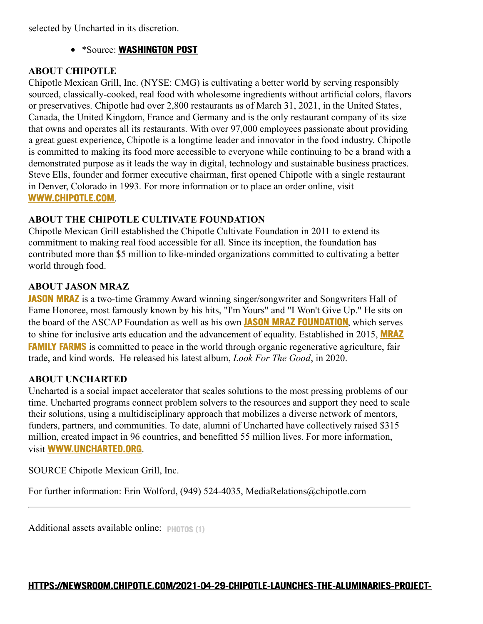selected by Uncharted in its discretion.

\*Source: **[WASHINGTON](https://c212.net/c/link/?t=0&l=en&o=3146298-1&h=842866373&u=https%3A%2F%2Fc212.net%2Fc%2Flink%2F%3Ft%3D0%26l%3Den%26o%3D2660367-1%26h%3D3165039667%26u%3Dhttps%253A%252F%252Fwww.washingtonpost.com%252Fbusiness%252Feconomy%252Fa-growing-number-of-young-americans-are-leaving-desk-jobs-to-farm%252F2017%252F11%252F23%252Fe3c018ae-c64e-11e7-afe9-4f60b5a6c4a0_story.html%26a%3DWashington%2BPost&a=WASHINGTON+POST) POST**

#### **ABOUT CHIPOTLE**

Chipotle Mexican Grill, Inc. (NYSE: CMG) is cultivating a better world by serving responsibly sourced, classically-cooked, real food with wholesome ingredients without artificial colors, flavors or preservatives. Chipotle had over 2,800 restaurants as of March 31, 2021, in the United States, Canada, the United Kingdom, France and Germany and is the only restaurant company of its size that owns and operates all its restaurants. With over 97,000 employees passionate about providing a great guest experience, Chipotle is a longtime leader and innovator in the food industry. Chipotle is committed to making its food more accessible to everyone while continuing to be a brand with a demonstrated purpose as it leads the way in digital, technology and sustainable business practices. Steve Ells, founder and former executive chairman, first opened Chipotle with a single restaurant in Denver, Colorado in 1993. For more information or to place an order online, visit **[WWW.CHIPOTLE.COM](https://c212.net/c/link/?t=0&l=en&o=3146298-1&h=133108162&u=https%3A%2F%2Fc212.net%2Fc%2Flink%2F%3Ft%3D0%26l%3Den%26o%3D2358795-1%26h%3D1621835086%26u%3Dhttps%253A%252F%252Fc212.net%252Fc%252Flink%252F%253Ft%253D0%2526l%253Den%2526o%253D2335494-1%2526h%253D854222371%2526u%253Dhttp%25253A%25252F%25252Fwww.chipotle.com%25252F%2526a%253DWWW.CHIPOTLE.COM%26a%3DWWW.CHIPOTLE.COM&a=WWW.CHIPOTLE.COM)**.

# **ABOUT THE CHIPOTLE CULTIVATE FOUNDATION**

Chipotle Mexican Grill established the Chipotle Cultivate Foundation in 2011 to extend its commitment to making real food accessible for all. Since its inception, the foundation has contributed more than \$5 million to like-minded organizations committed to cultivating a better world through food.

## **ABOUT JASON MRAZ**

**[JASON](https://c212.net/c/link/?t=0&l=en&o=3146298-1&h=3483588524&u=https%3A%2F%2Fwww.jasonmraz.com%2F&a=Jason+Mraz) MRAZ** is a two-time Grammy Award winning singer/songwriter and Songwriters Hall of Fame Honoree, most famously known by his hits, "I'm Yours" and "I Won't Give Up." He sits on the board of the ASCAP Foundation as well as his own **JASON MRAZ [FOUNDATION](https://c212.net/c/link/?t=0&l=en&o=3146298-1&h=359126756&u=https%3A%2F%2Fwww.jasonmraz.com%2Ffoundation&a=Jason+Mraz+Foundation)**, which serves to shine for inclusive arts education and the [advancement](https://c212.net/c/link/?t=0&l=en&o=3146298-1&h=3411614390&u=https%3A%2F%2Fwww.mrazfamilyfarms.org%2F&a=Mraz+Family+Farms) of equality. Established in 2015, **MRAZ FAMILY FARMS** is committed to peace in the world through organic regenerative agriculture, fair trade, and kind words. He released his latest album, *Look For The Good*, in 2020.

#### **ABOUT UNCHARTED**

Uncharted is a social impact accelerator that scales solutions to the most pressing problems of our time. Uncharted programs connect problem solvers to the resources and support they need to scale their solutions, using a multidisciplinary approach that mobilizes a diverse network of mentors, funders, partners, and communities. To date, alumni of Uncharted have collectively raised \$315 million, created impact in 96 countries, and benefitted 55 million lives. For more information, visit **[WWW.UNCHARTED.ORG](https://c212.net/c/link/?t=0&l=en&o=3146298-1&h=94177860&u=http%3A%2F%2Fwww.uncharted.org%2F&a=WWW.UNCHARTED.ORG)**.

SOURCE Chipotle Mexican Grill, Inc.

For further information: Erin Wolford, (949) 524-4035, MediaRelations@chipotle.com

Additional assets available online: **[PHOTOS](https://newsroom.chipotle.com/2021-04-29-Chipotle-Launches-the-Aluminaries-Project-With-Mentor-And-Avocado-Supplier-Jason-Mraz#assets_117) (1)**